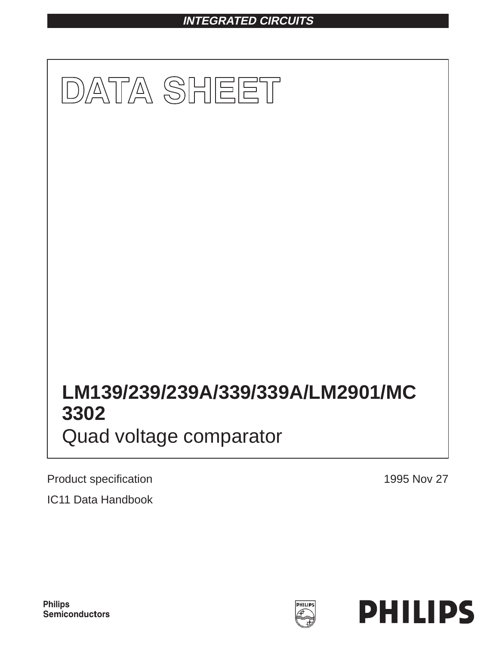# **INTEGRATED CIRCUITS**



Product specification **1995 Nov 27** 

IC11 Data Handbook



PHILIPS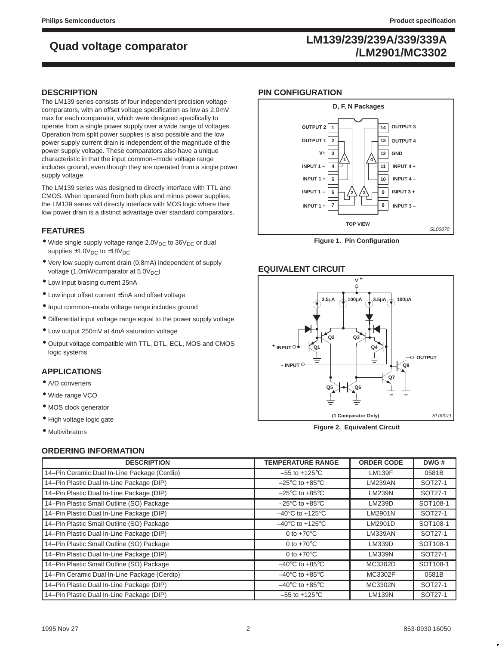# **LM139/239/239A/339/339A /LM2901/MC3302 Quad voltage comparator**

### **DESCRIPTION**

The LM139 series consists of four independent precision voltage comparators, with an offset voltage specification as low as 2.0mV max for each comparator, which were designed specifically to operate from a single power supply over a wide range of voltages. Operation from split power supplies is also possible and the low power supply current drain is independent of the magnitude of the power supply voltage. These comparators also have a unique characteristic in that the input common–mode voltage range includes ground, even though they are operated from a single power supply voltage.

The LM139 series was designed to directly interface with TTL and CMOS. When operated from both plus and minus power supplies, the LM139 series will directly interface with MOS logic where their low power drain is a distinct advantage over standard comparators.

## **FEATURES**

- $\bullet$  Wide single supply voltage range 2.0V<sub>DC</sub> to 36V<sub>DC</sub> or dual supplies  $\pm 1.0V_{DC}$  to  $\pm 18V_{DC}$
- Very low supply current drain (0.8mA) independent of supply voltage (1.0mW/comparator at  $5.0V<sub>DC</sub>$ )
- Low input biasing current 25nA
- Low input offset current ±5nA and offset voltage
- Input common–mode voltage range includes ground
- Differential input voltage range equal to the power supply voltage
- Low output 250mV at 4mA saturation voltage
- Output voltage compatible with TTL, DTL, ECL, MOS and CMOS logic systems

### **APPLICATIONS**

- A/D converters
- Wide range VCO
- MOS clock generator
- High voltage logic gate
- Multivibrators

## **ORDERING INFORMATION**

| <b>DESCRIPTION</b>                           | <b>TEMPERATURE RANGE</b>             | <b>ORDER CODE</b> | DWG#     |
|----------------------------------------------|--------------------------------------|-------------------|----------|
| 14-Pin Ceramic Dual In-Line Package (Cerdip) | $-55$ to $+125^{\circ}$ C            | <b>LM139F</b>     | 0581B    |
| 14-Pin Plastic Dual In-Line Package (DIP)    | $-25^{\circ}$ C to $+85^{\circ}$ C   | <b>LM239AN</b>    | SOT27-1  |
| 14-Pin Plastic Dual In-Line Package (DIP)    | $-25^{\circ}$ C to $+85^{\circ}$ C   | <b>LM239N</b>     | SOT27-1  |
| 14-Pin Plastic Small Outline (SO) Package    | $-25^{\circ}$ C to $+85^{\circ}$ C   | <b>LM239D</b>     | SOT108-1 |
| 14-Pin Plastic Dual In-Line Package (DIP)    | $-40^{\circ}$ C to +125 $^{\circ}$ C | LM2901N           | SOT27-1  |
| 14-Pin Plastic Small Outline (SO) Package    | $-40^{\circ}$ C to $+125^{\circ}$ C  | LM2901D           | SOT108-1 |
| 14-Pin Plastic Dual In-Line Package (DIP)    | 0 to $+70^{\circ}$ C                 | LM339AN           | SOT27-1  |
| 14-Pin Plastic Small Outline (SO) Package    | 0 to $+70^{\circ}$ C                 | LM339D            | SOT108-1 |
| 14-Pin Plastic Dual In-Line Package (DIP)    | 0 to $+70^{\circ}$ C                 | LM339N            | SOT27-1  |
| 14-Pin Plastic Small Outline (SO) Package    | $-40^{\circ}$ C to +85 $^{\circ}$ C  | MC3302D           | SOT108-1 |
| 14-Pin Ceramic Dual In-Line Package (Cerdip) | $-40^{\circ}$ C to $+85^{\circ}$ C   | MC3302F           | 0581B    |
| 14-Pin Plastic Dual In-Line Package (DIP)    | $-40^{\circ}$ C to $+85^{\circ}$ C   | MC3302N           | SOT27-1  |
| 14-Pin Plastic Dual In-Line Package (DIP)    | $-55$ to $+125^{\circ}$ C            | <b>LM139N</b>     | SOT27-1  |

### **PIN CONFIGURATION**



**Figure 1. Pin Configuration**

## **EQUIVALENT CIRCUIT**



**Figure 2. Equivalent Circuit**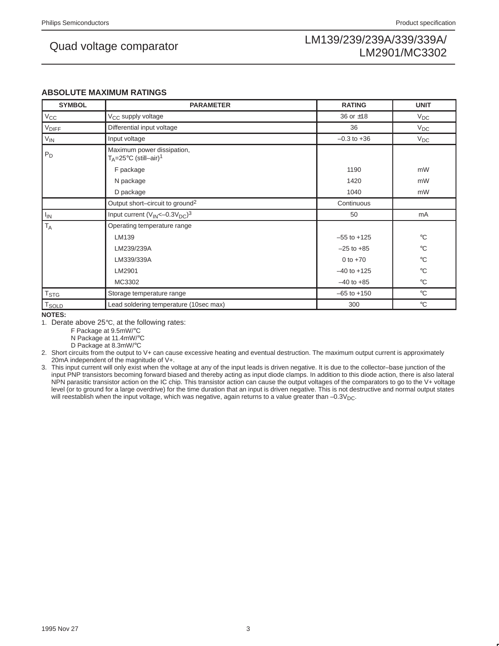### **ABSOLUTE MAXIMUM RATINGS**

| <b>SYMBOL</b>     | <b>PARAMETER</b>                                                           | <b>RATING</b>   | <b>UNIT</b>     |
|-------------------|----------------------------------------------------------------------------|-----------------|-----------------|
| $V_{\rm CC}$      | V <sub>CC</sub> supply voltage                                             | 36 or $\pm$ 18  | $V_{DC}$        |
| <b>VDIFF</b>      | Differential input voltage                                                 | 36              | $V_{DC}$        |
| $V_{IN}$          | Input voltage                                                              | $-0.3$ to $+36$ | $V_{DC}$        |
| $P_D$             | Maximum power dissipation,<br>$T_A = 25^{\circ}C$ (still-air) <sup>1</sup> |                 |                 |
|                   | F package                                                                  | 1190            | mW              |
|                   | N package                                                                  | 1420            | mW              |
|                   | D package                                                                  | 1040            | mW              |
|                   | Output short-circuit to ground <sup>2</sup>                                | Continuous      |                 |
| $I_{IN}$          | Input current $(V_{IN}<-0.3V_{DC})^3$                                      | 50              | mA              |
| $T_A$             | Operating temperature range                                                |                 |                 |
|                   | LM139                                                                      | $-55$ to $+125$ | $^{\circ}C$     |
|                   | LM239/239A                                                                 | $-25$ to $+85$  | $^{\circ}C$     |
|                   | LM339/339A                                                                 | 0 to $+70$      | $\rm ^{\circ}C$ |
|                   | LM2901                                                                     | $-40$ to $+125$ | $^{\circ}C$     |
|                   | MC3302                                                                     | $-40$ to $+85$  | $^{\circ}$ C    |
| T <sub>STG</sub>  | Storage temperature range                                                  | $-65$ to $+150$ | $^{\circ}$ C    |
| T <sub>SOLD</sub> | Lead soldering temperature (10sec max)                                     | 300             | $^{\circ}$ C    |

**NOTES:**

1. Derate above 25°C, at the following rates:

F Package at 9.5mW/°C

N Package at 11.4mW/°C

D Package at 8.3mW/°C

2. Short circuits from the output to V+ can cause excessive heating and eventual destruction. The maximum output current is approximately 20mA independent of the magnitude of V+.

3. This input current will only exist when the voltage at any of the input leads is driven negative. It is due to the collector–base junction of the input PNP transistors becoming forward biased and thereby acting as input diode clamps. In addition to this diode action, there is also lateral NPN parasitic transistor action on the IC chip. This transistor action can cause the output voltages of the comparators to go to the V+ voltage level (or to ground for a large overdrive) for the time duration that an input is driven negative. This is not destructive and normal output states will reestablish when the input voltage, which was negative, again returns to a value greater than  $-0.3V_{\text{DC}}$ .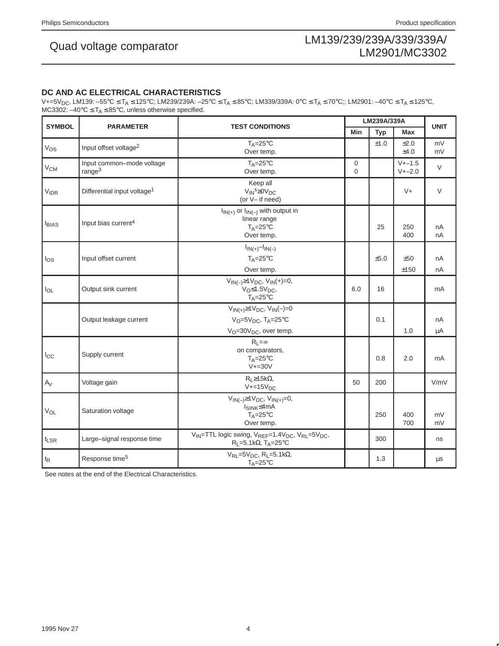## **DC AND AC ELECTRICAL CHARACTERISTICS**

V+=5V<sub>DC</sub>, LM139: –55°C ≤ T<sub>A</sub> ≤ 125°C; LM239/239A: –25°C ≤ T<sub>A</sub> ≤ 85°C; LM339/339A: 0°C ≤ T<sub>A</sub> ≤ 70°C;; LM2901: –40°C ≤ T<sub>A</sub> ≤ 125°C, MC3302:  $-40^{\circ}C \leq T_A \leq 85^{\circ}C$ , unless otherwise specified.

| <b>SYMBOL</b>    | <b>PARAMETER</b>                                |                                                                                                                                                           |                         | LM239A/339A |                          |             |  |
|------------------|-------------------------------------------------|-----------------------------------------------------------------------------------------------------------------------------------------------------------|-------------------------|-------------|--------------------------|-------------|--|
|                  |                                                 | <b>TEST CONDITIONS</b>                                                                                                                                    | Min                     | <b>Typ</b>  | Max                      | <b>UNIT</b> |  |
| $V_{OS}$         | Input offset voltage <sup>2</sup>               | $T_A = 25^\circ C$<br>Over temp.                                                                                                                          |                         | ±1.0        | ±2.0<br>±4.0             | mV<br>mV    |  |
| $\rm V_{CM}$     | Input common-mode voltage<br>range <sup>3</sup> | $T_A = 25$ °C<br>Over temp.                                                                                                                               | $\mathbf 0$<br>$\Omega$ |             | $V + -1.5$<br>$V + -2.0$ | $\vee$      |  |
| <b>VIDR</b>      | Differential input voltage <sup>1</sup>         | Keep all<br>$V_{IN}^s \geq 0V_{DC}$<br>(or V- if need)                                                                                                    |                         |             | $V +$                    | $\vee$      |  |
| <b>I</b> BIAS    | Input bias current <sup>4</sup>                 | $I_{IN(+)}$ or $I_{IN(-)}$ with output in<br>linear range<br>$T_A = 25^\circ C$<br>Over temp.                                                             |                         | 25          | 250<br>400               | nA<br>nA    |  |
| $\log$           | Input offset current                            | $I_{IN(+)}-I_{IN(-)}$<br>$T_A = 25^\circ C$<br>Over temp.                                                                                                 |                         | ±5.0        | ±50<br>±150              | nA<br>nA    |  |
| $I_{OL}$         | Output sink current                             | $V_{IN(-)} \ge 1 V_{DC}$ , $V_{IN}(+) = 0$ ,<br>$V_{\text{O}} \leq 1.5 V_{\text{DC}}$<br>$T_A = 25^{\circ}C$                                              | 6.0                     | 16          |                          | mA          |  |
|                  | Output leakage current                          | $V_{IN(+)} \ge 1 V_{DC}$ , $V_{IN}(-)=0$<br>$V_O = 5V_{DC}$ , TA=25°C<br>$V_O = 30V_{DC}$ , over temp.                                                    |                         | 0.1         | 1.0                      | nA<br>μA    |  |
| $I_{\rm CC}$     | Supply current                                  | $R_L = \infty$<br>on comparators,<br>$T_A = 25$ °C<br>$V+=30V$                                                                                            |                         | 0.8         | 2.0                      | mA          |  |
| $A_V$            | Voltage gain                                    | $R_{L} \ge 15k\Omega$<br>$V+=15V_{DC}$                                                                                                                    | 50                      | 200         |                          | V/mV        |  |
| VOL              | Saturation voltage                              | $V_{IN(-)} \ge 1 V_{DC}$ , $V_{IN(+)} = 0$ ,<br>I <sub>SINK</sub> ≤4mA<br>$T_A = 25^\circ C$<br>Over temp.                                                |                         | 250         | 400<br>700               | mV<br>mV    |  |
| $t_{LSR}$        | Large-signal response time                      | V <sub>IN</sub> =TTL logic swing, V <sub>REF</sub> =1.4V <sub>DC</sub> , V <sub>RL</sub> =5V <sub>DC</sub> ,<br>$R_L = 5.1k\Omega$ , T <sub>A</sub> =25°C |                         | 300         |                          | ns          |  |
| $t_{\mathsf{R}}$ | Response time <sup>5</sup>                      | $V_{RL}$ =5 $V_{DC}$ , R <sub>L</sub> =5.1k $\Omega$ ,<br>$T_A = 25^{\circ}C$                                                                             |                         | 1.3         |                          | $\mu$ s     |  |

See notes at the end of the Electrical Characteristics.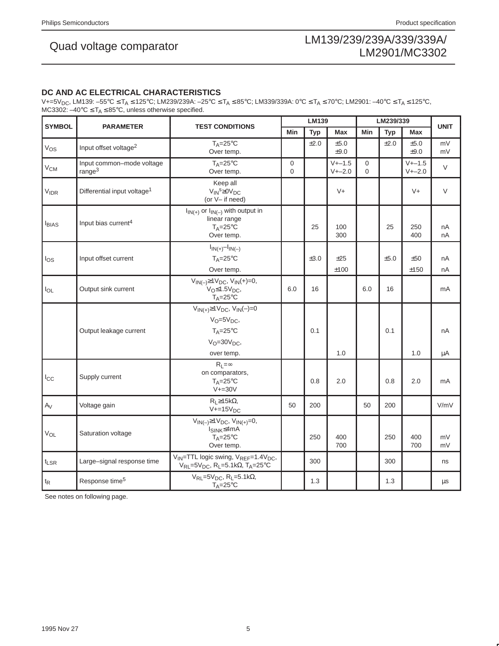## **DC AND AC ELECTRICAL CHARACTERISTICS**

V+=5V<sub>DC</sub>, LM139: –55°C ≤ T<sub>A</sub> ≤ 125°C; LM239/239A: –25°C ≤ T<sub>A</sub> ≤ 85°C; LM339/339A: 0°C ≤ T<sub>A</sub> ≤ 70°C; LM2901: –40°C ≤ T<sub>A</sub> ≤ 125°C, MC3302:  $-40^{\circ}$ C  $\leq$  T<sub>A</sub>  $\leq$  85°C, unless otherwise specified.

| <b>SYMBOL</b>         | <b>PARAMETER</b>                                | <b>LM139</b><br><b>TEST CONDITIONS</b>                                                                                                                  |                         |            | LM239/339                |                         |            | <b>UNIT</b>              |          |
|-----------------------|-------------------------------------------------|---------------------------------------------------------------------------------------------------------------------------------------------------------|-------------------------|------------|--------------------------|-------------------------|------------|--------------------------|----------|
|                       |                                                 |                                                                                                                                                         | Min                     | <b>Typ</b> | Max                      | Min                     | <b>Typ</b> | <b>Max</b>               |          |
| $V_{OS}$              | Input offset voltage <sup>2</sup>               | $T_A = 25^\circ C$<br>Over temp.                                                                                                                        |                         | ±2.0       | ±5.0<br>±9.0             |                         | ±2.0       | ±5.0<br>$\pm 9.0$        | mV<br>mV |
| V <sub>CM</sub>       | Input common-mode voltage<br>range <sup>3</sup> | $T_A = 25$ °C<br>Over temp.                                                                                                                             | $\mathbf 0$<br>$\Omega$ |            | $V + -1.5$<br>$V + -2.0$ | $\mathbf 0$<br>$\Omega$ |            | $V + -1.5$<br>$V + -2.0$ | $\vee$   |
| <b>VIDR</b>           | Differential input voltage <sup>1</sup>         | Keep all<br>$V_{IN}^s \geq 0V_{DC}$<br>(or V- if need)                                                                                                  |                         |            | $V +$                    |                         |            | $V +$                    | $\vee$   |
| <b>I</b> BIAS         | Input bias current <sup>4</sup>                 | $I_{IN(+)}$ or $I_{IN(-)}$ with output in<br>linear range<br>$T_A = 25^\circ C$<br>Over temp.                                                           |                         | 25         | 100<br>300               |                         | 25         | 250<br>400               | nA<br>nA |
| los                   | Input offset current                            | $I_{IN(+)} - I_{IN(-)}$<br>$T_A = 25^{\circ}C$<br>Over temp.                                                                                            |                         | ±3.0       | ±25<br>±100              |                         | ±5.0       | ±50<br>±150              | nA<br>nA |
| $I_{OL}$              | Output sink current                             | $V_{IN(-)} \ge 1 V_{DC}$ , $V_{IN}(+) = 0$ ,<br>$V_{\text{O}} \leq 1.5 V_{\text{DC}}$<br>$T_A = 25^\circ C$                                             | 6.0                     | 16         |                          | 6.0                     | 16         |                          | mA       |
|                       | Output leakage current                          | $V_{IN(+)} \ge 1 V_{DC}$ , $V_{IN}(-)=0$<br>$V_O = 5V_{DC}$<br>$T_A = 25^\circ C$<br>$V_O = 30V_{DC}$<br>over temp.                                     |                         | 0.1        | 1.0                      |                         | 0.1        | 1.0                      | nA<br>μA |
| $I_{\rm CC}$          | Supply current                                  | $R_1 = \infty$<br>on comparators,<br>$T_A = 25^\circ C$<br>$V+=30V$                                                                                     |                         | 0.8        | 2.0                      |                         | 0.8        | 2.0                      | mA       |
| $A_V$                 | Voltage gain                                    | $R_L \geq 15k\Omega$<br>$V+=15VDC$                                                                                                                      | 50                      | 200        |                          | 50                      | 200        |                          | V/mV     |
| <b>V<sub>OL</sub></b> | Saturation voltage                              | $V_{IN(-)} \ge 1 V_{DC}$ , $V_{IN(+)} = 0$ ,<br>้I <sub>SINK</sub> ≤4mA<br>$T_A = 25$ °C<br>Over temp.                                                  |                         | 250        | 400<br>700               |                         | 250        | 400<br>700               | mV<br>mV |
| $t_{LSR}$             | Large-signal response time                      | V <sub>IN</sub> =TTL logic swing, V <sub>REF</sub> =1.4V <sub>DC</sub> ,<br>$V_{RL}$ =5 $V_{DC}$ , R <sub>L</sub> =5.1k $\Omega$ , T <sub>A</sub> =25°C |                         | 300        |                          |                         | 300        |                          | ns       |
| $t_{\mathsf{R}}$      | Response time <sup>5</sup>                      | $V_{RL} = 5V_{DC}$ , R <sub>L</sub> =5.1k $\Omega$ ,<br>$T_A = 25^\circ C$                                                                              |                         | 1.3        |                          |                         | 1.3        |                          | μs       |

See notes on following page.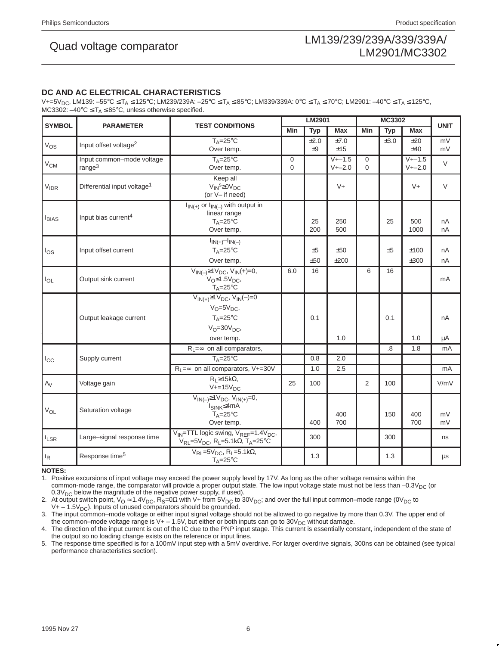## **DC AND AC ELECTRICAL CHARACTERISTICS**

V+=5V<sub>DC</sub>, LM139: –55°C ≤ T<sub>A</sub> ≤ 125°C; LM239/239A: –25°C ≤ T<sub>A</sub> ≤ 85°C; LM339/339A: 0°C ≤ T<sub>A</sub> ≤ 70°C; LM2901: –40°C ≤ T<sub>A</sub> ≤ 125°C, MC3302:  $-40^{\circ}C \leq T_A \leq 85^{\circ}C$ , unless otherwise specified.

| <b>SYMBOL</b>         | <b>PARAMETER</b>                        | <b>TEST CONDITIONS</b>                                                                                                                                  |             | LM2901     |             |             | <b>MC3302</b>  |              |             |  |
|-----------------------|-----------------------------------------|---------------------------------------------------------------------------------------------------------------------------------------------------------|-------------|------------|-------------|-------------|----------------|--------------|-------------|--|
|                       |                                         |                                                                                                                                                         | Min         | <b>Typ</b> | <b>Max</b>  | Min         | <b>Typ</b>     | <b>Max</b>   | <b>UNIT</b> |  |
| $V_{OS}$              | Input offset voltage <sup>2</sup>       | $T_A = 25$ °C<br>Over temp.                                                                                                                             |             | ±2.0<br>±9 | ±7.0<br>±15 |             | ±3.0           | ±20<br>±40   | mV<br>mV    |  |
|                       | Input common-mode voltage               | $T_A = 25^{\circ}C$                                                                                                                                     | $\mathbf 0$ |            | $V + -1.5$  | $\mathbf 0$ |                | $V + -1.5$   |             |  |
| V <sub>CM</sub>       | range <sup>3</sup>                      | Over temp.                                                                                                                                              | $\Omega$    |            | $V + -2.0$  | $\Omega$    |                | $V + -2.0$   | $\vee$      |  |
| $V_{IDR}$             | Differential input voltage <sup>1</sup> | Keep all<br>$V_{IN}^s \geq 0V_{DC}$<br>(or V- if need)                                                                                                  |             |            | $V +$       |             |                | $V +$        | $\vee$      |  |
| <b>I</b> BIAS         | Input bias current <sup>4</sup>         | $I_{IN(+)}$ or $I_{IN(-)}$ with output in<br>linear range<br>$T_A = 25^{\circ}C$<br>Over temp.                                                          |             | 25<br>200  | 250<br>500  |             | 25             | 500<br>1000  | nA<br>nA    |  |
| $I_{OS}$              | Input offset current                    | $I_{IN(+)}-I_{IN(-)}$<br>$T_A = 25$ °C<br>Over temp.                                                                                                    |             | ±5<br>±50  | ±50<br>±200 |             | ±5             | ±100<br>±300 | nA<br>nA    |  |
| $I_{OL}$              | Output sink current                     | $V_{IN(-)} \ge 1 V_{DC}$ , $V_{IN}(+) = 0$ ,<br>$VO \le 1.5VDC$<br>$T_A = 25^\circ C$                                                                   |             | 16         |             | 6           | 16             |              | mA          |  |
|                       | Output leakage current                  | $V_{IN(+)} \ge 1 V_{DC}$ , $V_{IN}(-)=0$<br>$V_O = 5V_{DC}$<br>$T_A = 25$ °C<br>$V_O = 30V_{DC}$<br>over temp.                                          |             | 0.1        | 1.0         |             | 0.1            | 1.0          | nA<br>μA    |  |
|                       |                                         | $R_1 = \infty$ on all comparators,                                                                                                                      |             |            |             |             | $\overline{8}$ | 1.8          | mA          |  |
| $I_{\rm CC}$          | Supply current                          | $T_A = 25^\circ C$                                                                                                                                      |             | 0.8        | 2.0         |             |                |              |             |  |
|                       |                                         | $R_l = \infty$ on all comparators, V+=30V                                                                                                               |             | 1.0        | 2.5         |             |                |              | mA          |  |
| $A_V$                 | Voltage gain                            | $R_1 \geq 15k\Omega$<br>$V+=15V_{DC}$                                                                                                                   | 25          | 100        |             | 2           | 100            |              | V/mV        |  |
| <b>V<sub>OL</sub></b> | Saturation voltage                      | $\overline{V_{IN(-)}} \ge 1 V_{DC}, V_{IN(+)} = 0,$<br>$I_{SINK} \leq 4mA$<br>$T_A = 25^{\circ}C$<br>Over temp.                                         |             | 400        | 400<br>700  |             | 150            | 400<br>700   | mV<br>mV    |  |
| $t_{LSR}$             | Large-signal response time              | V <sub>IN</sub> =TTL logic swing, V <sub>REF</sub> =1.4V <sub>DC</sub> ,<br>$V_{RL}$ =5 $V_{DC}$ , R <sub>L</sub> =5.1k $\Omega$ , T <sub>A</sub> =25°C |             | 300        |             |             | 300            |              | ns          |  |
| $t_{R}$               | Response time <sup>5</sup>              | $V_{RL} = 5V_{DC}$ , R <sub>L</sub> =5.1k $\Omega$ ,<br>$T_A = 25^{\circ}C$                                                                             |             | 1.3        |             |             | 1.3            |              | $\mu s$     |  |

### **NOTES:**

1. Positive excursions of input voltage may exceed the power supply level by 17V. As long as the other voltage remains within the common-mode range, the comparator will provide a proper output state. The low input voltage state must not be less than  $-0.3V_{DC}$  (or  $0.3V<sub>DC</sub>$  below the magnitude of the negative power supply, if used).

2. At output switch point,  $V_O \approx 1.4V_{DC}$ ,  $R_S = 0\Omega$  with V+ from  $5V_{DC}$  to  $30V_{DC}$ ; and over the full input common–mode range (0V<sub>DC</sub> to  $V + -1.5V<sub>DC</sub>$ . Inputs of unused comparators should be grounded.

3. The input common–mode voltage or either input signal voltage should not be allowed to go negative by more than 0.3V. The upper end of

the common–mode voltage range is V+ - 1.5V, but either or both inputs can go to 30V<sub>DC</sub> without damage.<br>4. The direction of the input current is out of the IC due to the PNP input stage. This current is essentially consta the output so no loading change exists on the reference or input lines.

5. The response time specified is for a 100mV input step with a 5mV overdrive. For larger overdrive signals, 300ns can be obtained (see typical performance characteristics section).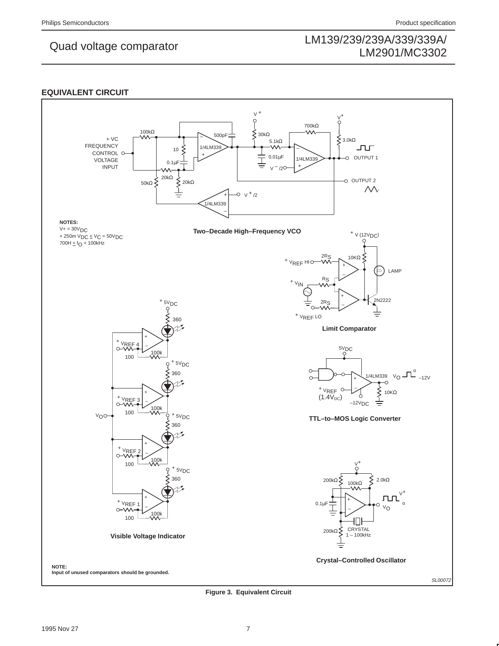## **EQUIVALENT CIRCUIT**



**Figure 3. Equivalent Circuit**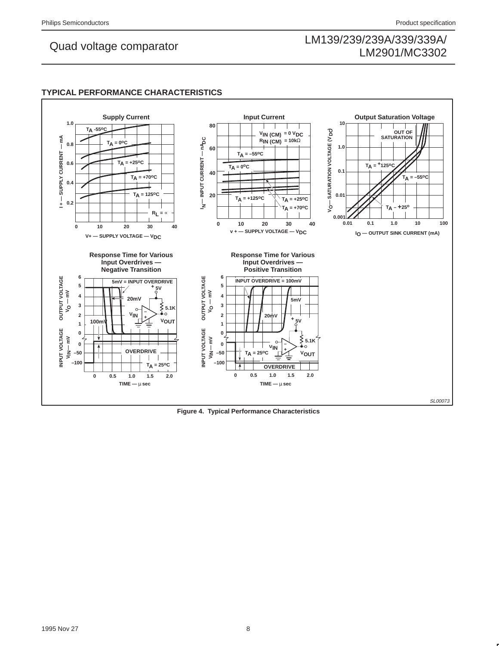## **TYPICAL PERFORMANCE CHARACTERISTICS**



**Figure 4. Typical Performance Characteristics**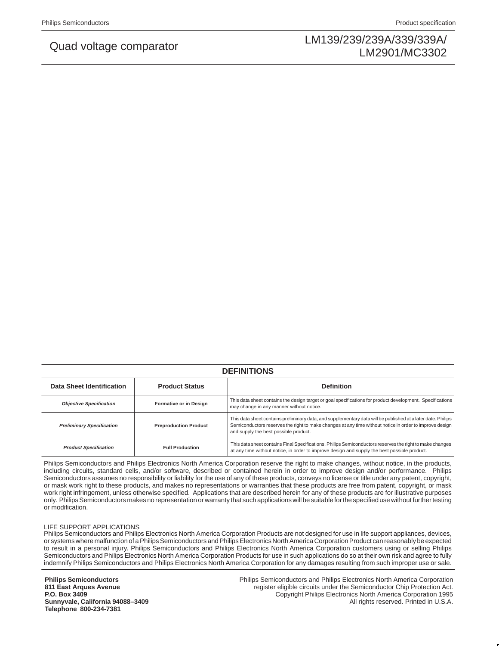| <b>DEFINITIONS</b>               |                              |                                                                                                                                                                                                                                                                  |  |  |  |  |  |  |  |
|----------------------------------|------------------------------|------------------------------------------------------------------------------------------------------------------------------------------------------------------------------------------------------------------------------------------------------------------|--|--|--|--|--|--|--|
| Data Sheet Identification        | <b>Product Status</b>        | <b>Definition</b>                                                                                                                                                                                                                                                |  |  |  |  |  |  |  |
| <b>Objective Specification</b>   | Formative or in Design       | This data sheet contains the design target or goal specifications for product development. Specifications<br>may change in any manner without notice.                                                                                                            |  |  |  |  |  |  |  |
| <b>Preliminary Specification</b> | <b>Preproduction Product</b> | This data sheet contains preliminary data, and supplementary data will be published at a later date. Philips<br>Semiconductors reserves the right to make changes at any time without notice in order to improve design<br>and supply the best possible product. |  |  |  |  |  |  |  |
| <b>Product Specification</b>     | <b>Full Production</b>       | This data sheet contains Final Specifications. Philips Semiconductors reserves the right to make changes<br>at any time without notice, in order to improve design and supply the best possible product.                                                         |  |  |  |  |  |  |  |

Philips Semiconductors and Philips Electronics North America Corporation reserve the right to make changes, without notice, in the products, including circuits, standard cells, and/or software, described or contained herein in order to improve design and/or performance. Philips Semiconductors assumes no responsibility or liability for the use of any of these products, conveys no license or title under any patent, copyright, or mask work right to these products, and makes no representations or warranties that these products are free from patent, copyright, or mask work right infringement, unless otherwise specified. Applications that are described herein for any of these products are for illustrative purposes only. Philips Semiconductors makes no representation or warranty that such applications will be suitable for the specified use without further testing or modification.

### LIFE SUPPORT APPLICATIONS

Philips Semiconductors and Philips Electronics North America Corporation Products are not designed for use in life support appliances, devices, or systems where malfunction of a Philips Semiconductors and Philips Electronics North America Corporation Product can reasonably be expected to result in a personal injury. Philips Semiconductors and Philips Electronics North America Corporation customers using or selling Philips Semiconductors and Philips Electronics North America Corporation Products for use in such applications do so at their own risk and agree to fully indemnify Philips Semiconductors and Philips Electronics North America Corporation for any damages resulting from such improper use or sale.

**Philips Semiconductors 811 East Arques Avenue P.O. Box 3409 Sunnyvale, California 94088–3409 Telephone 800-234-7381**

Philips Semiconductors and Philips Electronics North America Corporation register eligible circuits under the Semiconductor Chip Protection Act. Copyright Philips Electronics North America Corporation 1995 All rights reserved. Printed in U.S.A.